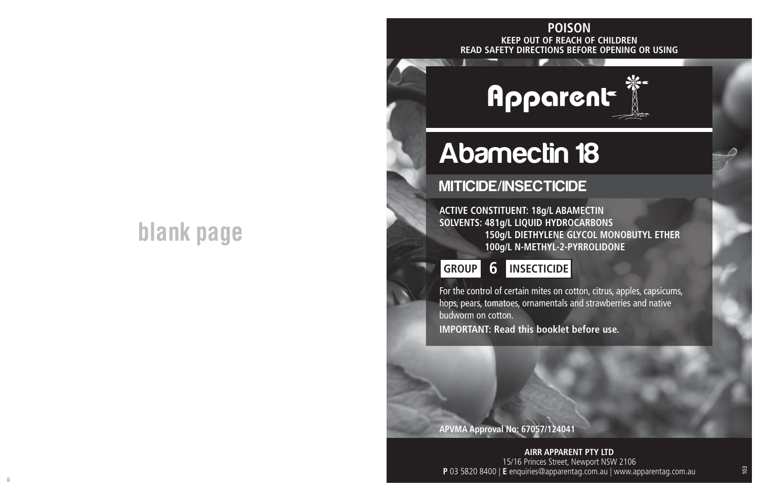## **blank page**

#### **KEEP OUT OF REACH OF CHILDREN READ SAFETY DIRECTIONS BEFORE OPENING OR USING POISON**

# Apparent

# Abamectin 18

## MITICIDE/INSECTICIDE

**ACTIVE CONSTITUENT: 18g/L ABAMECTIN SOLVENTS: 481g/L LIQUID HYDROCARBONS 150g/L DIETHYLENE GLYCOL MONOBUTYL ETHER 100g/L N-METHYL-2-PYRROLIDONE**

**GROUP 6 INSECTICIDE**

For the control of certain mites on cotton, citrus, apples, capsicums, hops, pears, tomatoes, ornamentals and strawberries and native budworm on cotton. **IMPORTANT: Read this booklet before use.**

**APVMA Approval No: 67057/124041**

ii aastad oo dhaqaala iyo dadka waxaa laga sadanka waxaa laga sadanka waxaa laga sadanka waxaa laga sadanka wa **AIRR APPARENT PTY LTD** 15/16 Princes Street, Newport NSW 2106 **P** 03 5820 8400 | **E** enquiries@apparentag.com.au | www.apparentag.com.au

103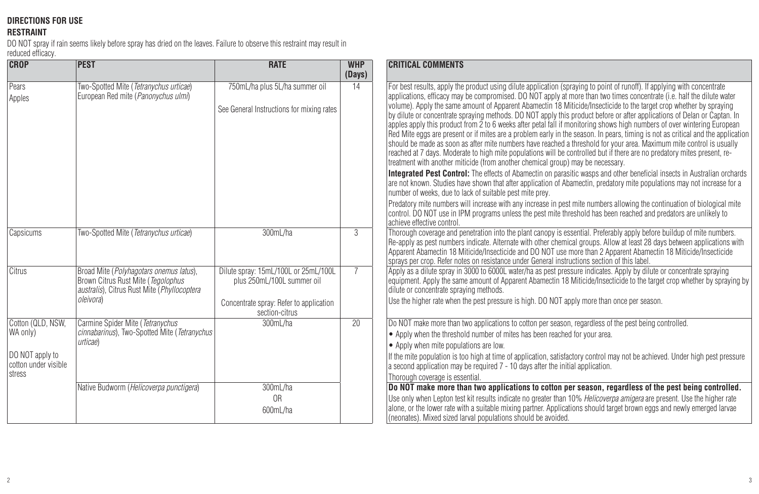#### **DIRECTIONS FOR USE**

#### **RESTRAINT**

DO NOT spray if rain seems likely before spray has dried on the leaves. Failure to observe this restraint may result in reduced efficacy.

| <b>CROP</b>                                                                        | <b>PEST</b>                                                                                                                               | <b>RATE</b>                                                                 | <b>WHP</b><br>(Days) | <b>CRITICAL COMMENTS</b>                                                                                                                                                                                                                                                                                                                                                                                                                                                                                                                                                                                                                                                                                                                                                                                                                                                                                                                                                                                                                                                                                                                                                                                                                                                                                                                                                                                                                |
|------------------------------------------------------------------------------------|-------------------------------------------------------------------------------------------------------------------------------------------|-----------------------------------------------------------------------------|----------------------|-----------------------------------------------------------------------------------------------------------------------------------------------------------------------------------------------------------------------------------------------------------------------------------------------------------------------------------------------------------------------------------------------------------------------------------------------------------------------------------------------------------------------------------------------------------------------------------------------------------------------------------------------------------------------------------------------------------------------------------------------------------------------------------------------------------------------------------------------------------------------------------------------------------------------------------------------------------------------------------------------------------------------------------------------------------------------------------------------------------------------------------------------------------------------------------------------------------------------------------------------------------------------------------------------------------------------------------------------------------------------------------------------------------------------------------------|
| Pears<br>Apples                                                                    | Two-Spotted Mite (Tetranychus urticae)<br>European Red mite (Panonychus ulmi)                                                             | 750mL/ha plus 5L/ha summer oil<br>See General Instructions for mixing rates | 14                   | For best results, apply the product using dilute application (spraying to point of runoff). If applying with concentrate<br>applications, efficacy may be compromised. DO NOT apply at more than two times concentrate (i.e. half the dilute water<br>volume). Apply the same amount of Apparent Abamectin 18 Miticide/Insecticide to the target crop whether by spraying<br>by dilute or concentrate spraying methods. DO NOT apply this product before or after applications of Delan or Captan. In<br>apples apply this product from 2 to 6 weeks after petal fall if monitoring shows high numbers of over wintering European<br>Red Mite eggs are present or if mites are a problem early in the season. In pears, timing is not as critical and the application<br>should be made as soon as after mite numbers have reached a threshold for your area. Maximum mite control is usually<br>reached at 7 days. Moderate to high mite populations will be controlled but if there are no predatory mites present, re-<br>treatment with another miticide (from another chemical group) may be necessary.<br><b>Integrated Pest Control:</b> The effects of Abamectin on parasitic wasps and other beneficial insects in Australian orchards<br>are not known. Studies have shown that after application of Abamectin, predatory mite populations may not increase for a<br>number of weeks, due to lack of suitable pest mite prey. |
|                                                                                    |                                                                                                                                           |                                                                             |                      | Predatory mite numbers will increase with any increase in pest mite numbers allowing the continuation of biological mite<br>control. DO NOT use in IPM programs unless the pest mite threshold has been reached and predators are unlikely to<br>achieve effective control.                                                                                                                                                                                                                                                                                                                                                                                                                                                                                                                                                                                                                                                                                                                                                                                                                                                                                                                                                                                                                                                                                                                                                             |
| Capsicums                                                                          | Two-Spotted Mite (Tetranychus urticae)                                                                                                    | 300mL/ha                                                                    | $\overline{3}$       | Thorough coverage and penetration into the plant canopy is essential. Preferably apply before buildup of mite numbers.<br>Re-apply as pest numbers indicate. Alternate with other chemical groups. Allow at least 28 days between applications with<br>Apparent Abamectin 18 Miticide/Insecticide and DO NOT use more than 2 Apparent Abamectin 18 Miticide/Insecticide<br>sprays per crop. Refer notes on resistance under General instructions section of this label.                                                                                                                                                                                                                                                                                                                                                                                                                                                                                                                                                                                                                                                                                                                                                                                                                                                                                                                                                                 |
| Citrus                                                                             | Broad Mite (Polyhagotars onemus latus),<br>Brown Citrus Rust Mite (Tegolophus<br>australis), Citrus Rust Mite (Phyllocoptera<br>oleivora) | Dilute spray: 15mL/100L or 25mL/100L<br>plus 250mL/100L summer oil          |                      | Apply as a dilute spray in 3000 to 6000L water/ha as pest pressure indicates. Apply by dilute or concentrate spraying<br>equipment. Apply the same amount of Apparent Abamectin 18 Miticide/Insecticide to the target crop whether by spraying by<br>dilute or concentrate spraying methods.                                                                                                                                                                                                                                                                                                                                                                                                                                                                                                                                                                                                                                                                                                                                                                                                                                                                                                                                                                                                                                                                                                                                            |
|                                                                                    |                                                                                                                                           | Concentrate spray: Refer to application<br>section-citrus                   |                      | Use the higher rate when the pest pressure is high. DO NOT apply more than once per season.                                                                                                                                                                                                                                                                                                                                                                                                                                                                                                                                                                                                                                                                                                                                                                                                                                                                                                                                                                                                                                                                                                                                                                                                                                                                                                                                             |
| Cotton (QLD, NSW,<br>WA only)<br>DO NOT apply to<br>cotton under visible<br>stress | Carmine Spider Mite (Tetranychus<br>cinnabarinus), Two-Spotted Mite (Tetranychus<br>urticae)                                              | 300mL/ha                                                                    | 20                   | Do NOT make more than two applications to cotton per season, regardless of the pest being controlled.<br>• Apply when the threshold number of mites has been reached for your area.<br>• Apply when mite populations are low.<br>If the mite population is too high at time of application, satisfactory control may not be achieved. Under high pest pressure<br>a second application may be required 7 - 10 days after the initial application.<br>Thorough coverage is essential.                                                                                                                                                                                                                                                                                                                                                                                                                                                                                                                                                                                                                                                                                                                                                                                                                                                                                                                                                    |
|                                                                                    | Native Budworm (Helicoverpa punctigera)                                                                                                   | 300mL/ha<br>0 <sub>R</sub><br>600mL/ha                                      |                      | Do NOT make more than two applications to cotton per season, regardless of the pest being controlled.<br>Use only when Lepton test kit results indicate no greater than 10% Helicoverpa amigera are present. Use the higher rate<br>alone, or the lower rate with a suitable mixing partner. Applications should target brown eggs and newly emerged larvae<br>(neonates). Mixed sized larval populations should be avoided.                                                                                                                                                                                                                                                                                                                                                                                                                                                                                                                                                                                                                                                                                                                                                                                                                                                                                                                                                                                                            |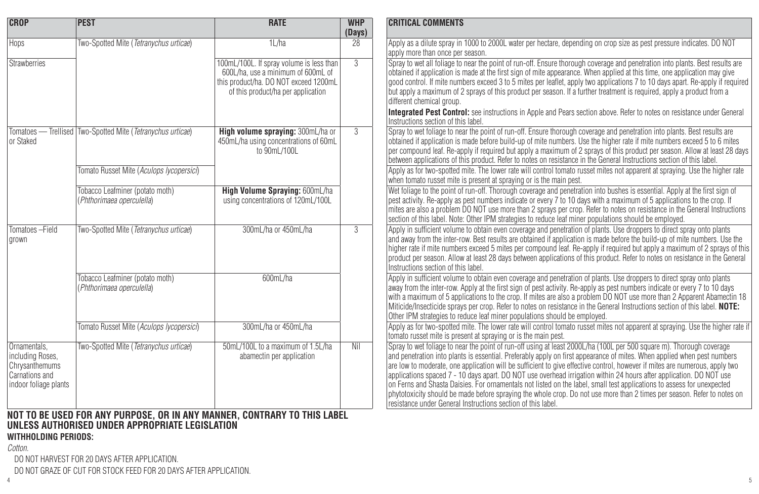| <b>CROP</b>                                                                                   | <b>PEST</b>                                                              | <b>RATE</b>                                                                                                                                                   | <b>WHP</b><br>(Days) | <b>CRITICAL COMMENTS</b>                                                                                                                                                                                                                                                                                                                                                                                                                                                                                                                                                                                                                                                                                                                                                                                                  |
|-----------------------------------------------------------------------------------------------|--------------------------------------------------------------------------|---------------------------------------------------------------------------------------------------------------------------------------------------------------|----------------------|---------------------------------------------------------------------------------------------------------------------------------------------------------------------------------------------------------------------------------------------------------------------------------------------------------------------------------------------------------------------------------------------------------------------------------------------------------------------------------------------------------------------------------------------------------------------------------------------------------------------------------------------------------------------------------------------------------------------------------------------------------------------------------------------------------------------------|
| Hops                                                                                          | Two-Spotted Mite (Tetranychus urticae)                                   | 1L/ha                                                                                                                                                         | 28                   | Apply as a dilute spray in 1000 to 2000L water per hectare, depending on crop size as pest pressure indicates. DO NOT<br>apply more than once per season.                                                                                                                                                                                                                                                                                                                                                                                                                                                                                                                                                                                                                                                                 |
| <b>Strawberries</b>                                                                           |                                                                          | 100mL/100L. If spray volume is less than<br>600L/ha, use a minimum of 600mL of<br>this product/ha. DO NOT exceed 1200mL<br>of this product/ha per application | 3                    | Spray to wet all foliage to near the point of run-off. Ensure thorough coverage and penetration into plants. Best results are<br>obtained if application is made at the first sign of mite appearance. When applied at this time, one application may give<br>good control. If mite numbers exceed 3 to 5 mites per leaflet, apply two applications 7 to 10 days apart. Re-apply if required<br>but apply a maximum of 2 sprays of this product per season. If a further treatment is required, apply a product from a<br>different chemical group.                                                                                                                                                                                                                                                                       |
|                                                                                               |                                                                          |                                                                                                                                                               |                      | Integrated Pest Control: see instructions in Apple and Pears section above. Refer to notes on resistance under General<br>Instructions section of this label.                                                                                                                                                                                                                                                                                                                                                                                                                                                                                                                                                                                                                                                             |
| Tomatoes -<br>or Staked                                                                       | - Trellised Two-Spotted Mite (Tetranychus urticae)                       | High volume spraying: 300mL/ha or<br>450mL/ha using concentrations of 60mL<br>to 90mL/100L                                                                    | $\overline{3}$       | Spray to wet foliage to near the point of run-off. Ensure thorough coverage and penetration into plants. Best results are<br>obtained if application is made before build-up of mite numbers. Use the higher rate if mite numbers exceed 5 to 6 mites<br>per compound leaf. Re-apply if required but apply a maximum of 2 sprays of this product per season. Allow at least 28 days<br>between applications of this product. Refer to notes on resistance in the General Instructions section of this label.                                                                                                                                                                                                                                                                                                              |
|                                                                                               | Tomato Russet Mite (Aculops lycopersici)                                 |                                                                                                                                                               |                      | Apply as for two-spotted mite. The lower rate will control tomato russet mites not apparent at spraying. Use the higher rate<br>when tomato russet mite is present at spraying or is the main pest.                                                                                                                                                                                                                                                                                                                                                                                                                                                                                                                                                                                                                       |
|                                                                                               | Tobacco Leafminer (potato moth)<br>(Phthorimaea operculella)             | High Volume Spraying: 600mL/ha<br>using concentrations of 120mL/100L                                                                                          |                      | Wet foliage to the point of run-off. Thorough coverage and penetration into bushes is essential. Apply at the first sign of<br>pest activity. Re-apply as pest numbers indicate or every 7 to 10 days with a maximum of 5 applications to the crop. If<br>mites are also a problem DO NOT use more than 2 sprays per crop. Refer to notes on resistance in the General Instructions<br>section of this label. Note: Other IPM strategies to reduce leaf miner populations should be employed.                                                                                                                                                                                                                                                                                                                             |
| Tomatoes-Field<br>arown                                                                       | Two-Spotted Mite (Tetranychus urticae)                                   | 300mL/ha or 450mL/ha                                                                                                                                          | $\overline{3}$       | Apply in sufficient volume to obtain even coverage and penetration of plants. Use droppers to direct spray onto plants<br>and away from the inter-row. Best results are obtained if application is made before the build-up of mite numbers. Use the<br>higher rate if mite numbers exceed 5 mites per compound leaf. Re-apply if required but apply a maximum of 2 sprays of this<br>product per season. Allow at least 28 days between applications of this product. Refer to notes on resistance in the General<br>Instructions section of this label.                                                                                                                                                                                                                                                                 |
|                                                                                               | Tobacco Leafminer (potato moth)<br>(Phthorimaea operculella)             | 600mL/ha                                                                                                                                                      |                      | Apply in sufficient volume to obtain even coverage and penetration of plants. Use droppers to direct spray onto plants<br>away from the inter-row. Apply at the first sign of pest activity. Re-apply as pest numbers indicate or every 7 to 10 days<br>with a maximum of 5 applications to the crop. If mites are also a problem DO NOT use more than 2 Apparent Abamectin 18<br>Miticide/Insecticide sprays per crop. Refer to notes on resistance in the General Instructions section of this label. NOTE:<br>Other IPM strategies to reduce leaf miner populations should be employed.                                                                                                                                                                                                                                |
|                                                                                               | Tomato Russet Mite (Aculops Ivcopersici)                                 | 300mL/ha or 450mL/ha                                                                                                                                          |                      | Apply as for two-spotted mite. The lower rate will control tomato russet mites not apparent at spraying. Use the higher rate if<br>tomato russet mite is present at spraying or is the main pest.                                                                                                                                                                                                                                                                                                                                                                                                                                                                                                                                                                                                                         |
| Ornamentals.<br>including Roses.<br>Chrysanthemums<br>Carnations and<br>indoor foliage plants | Two-Spotted Mite (Tetranychus urticae)                                   | 50mL/100L to a maximum of 1.5L/ha<br>abamectin per application                                                                                                | Nil                  | Spray to wet foliage to near the point of run-off using at least 2000L/ha (100L per 500 square m). Thorough coverage<br>and penetration into plants is essential. Preferably apply on first appearance of mites. When applied when pest numbers<br>are low to moderate, one application will be sufficient to give effective control, however if mites are numerous, apply two<br>applications spaced 7 - 10 days apart. DO NOT use overhead irrigation within 24 hours after application. DO NOT use<br>on Ferns and Shasta Daisies. For ornamentals not listed on the label, small test applications to assess for unexpected<br>phytotoxicity should be made before spraying the whole crop. Do not use more than 2 times per season. Refer to notes on<br>resistance under General Instructions section of this label |
|                                                                                               | HAT TO BE HAEB FOR ANY BURBOOF. OR IN ANY MANUED. CONTRABY TO THIS LABEL |                                                                                                                                                               |                      |                                                                                                                                                                                                                                                                                                                                                                                                                                                                                                                                                                                                                                                                                                                                                                                                                           |

#### **NOT TO BE USED FOR ANY PURPOSE, OR IN ANY MANNER, CONTRARY TO THIS LABEL UNLESS AUTHORISED UNDER APPROPRIATE LEGISLATION WITHHOLDING PERIODS:**

#### *Cotton.*

DO NOT HARVEST FOR 20 DAYS AFTER APPLICATION.

DO NOT GRAZE OF CUT FOR STOCK FEED FOR 20 DAYS AFTER APPLICATION.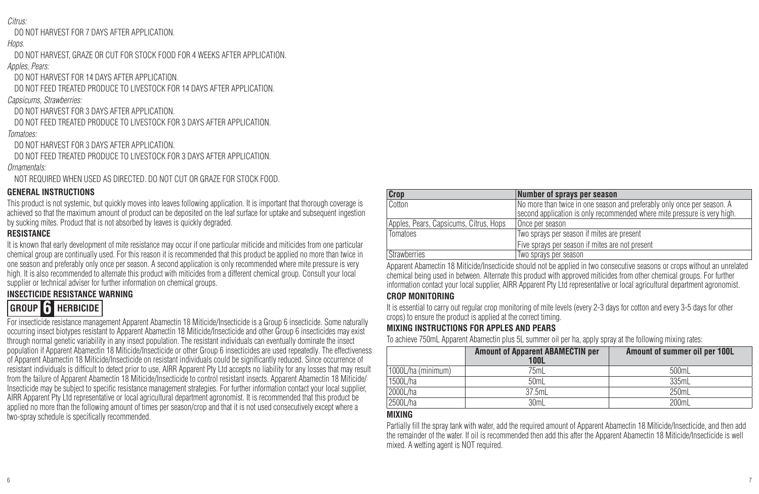*Citrus:*

DO NOT HARVEST FOR 7 DAYS AFTER APPLICATION.

*Hops.*

DO NOT HARVEST, GRAZE OR CUT FOR STOCK FOOD FOR 4 WEEKS AFTER APPLICATION. *Apples, Pears:*

DO NOT HARVEST FOR 14 DAYS AFTER APPLICATION.

DO NOT FEED TREATED PRODUCE TO LIVESTOCK FOR 14 DAYS AFTER APPLICATION.

*Capsicums, Strawberries:*

DO NOT HARVEST FOR 3 DAYS AFTER APPLICATION.

DO NOT FEED TREATED PRODUCE TO LIVESTOCK FOR 3 DAYS AFTER APPLICATION.

*Tomatoes:*

DO NOT HARVEST FOR 3 DAYS AFTER APPLICATION.

DO NOT FEED TREATED PRODUCE TO LIVESTOCK FOR 3 DAYS AFTER APPLICATION.

*Ornamentals:*

NOT REQUIRED WHEN USED AS DIRECTED. DO NOT CUT OR GRAZE FOR STOCK FOOD.

#### **GENERAL INSTRUCTIONS**

This product is not systemic, but quickly moves into leaves following application. It is important that thorough coverage is achieved so that the maximum amount of product can be deposited on the leaf surface for uptake and subsequent ingestion by sucking mites. Product that is not absorbed by leaves is quickly degraded.

#### **RESISTANCE**

It is known that early development of mite resistance may occur if one particular miticide and miticides from one particular chemical group are continually used. For this reason it is recommended that this product be applied no more than twice in one season and preferably only once per season. A second application is only recommended where mite pressure is very high. It is also recommended to alternate this product with miticides from a different chemical group. Consult your local supplier or technical adviser for further information on chemical groups.

#### **INSECTICIDE RESISTANCE WARNING**

### **GROUP 6 HERBICIDE**

For insecticide resistance management Apparent Abamectin 18 Miticide/Insecticide is a Group 6 insecticide. Some naturally occurring insect biotypes resistant to Apparent Abamectin 18 Miticide/Insecticide and other Group 6 insecticides may exist through normal genetic variability in any insect population. The resistant individuals can eventually dominate the insect population if Apparent Abamectin 18 Miticide/Insecticide or other Group 6 insecticides are used repeatedly. The effectiveness of Apparent Abamectin 18 Miticide/Insecticide on resistant individuals could be significantly reduced. Since occurrence of resistant individuals is difficult to detect prior to use, AIRR Apparent Pty Ltd accepts no liability for any losses that may result from the failure of Apparent Abamectin 18 Miticide/Insecticide to control resistant insects. Apparent Abamectin 18 Miticide/ Insecticide may be subject to specific resistance management strategies. For further information contact your local supplier, AIRR Apparent Pty Ltd representative or local agricultural department agronomist. It is recommended that this product be applied no more than the following amount of times per season/crop and that it is not used consecutively except where a two-spray schedule is specifically recommended.

| <b>Crop</b>                            | Number of sprays per season                                               |
|----------------------------------------|---------------------------------------------------------------------------|
| <b>Cotton</b>                          | No more than twice in one season and preferably only once per season. A   |
|                                        | Isecond application is only recommended where mite pressure is very high. |
| Apples, Pears, Capsicums, Citrus, Hops | Once per season                                                           |
| Tomatoes                               | Two sprays per season if mites are present                                |
|                                        | Five sprays per season if mites are not present                           |
| Strawberries                           | Two sprays per season                                                     |

Apparent Abamectin 18 Miticide/Insecticide should not be applied in two consecutive seasons or crops without an unrelated chemical being used in between. Alternate this product with approved miticides from other chemical groups. For further information contact your local supplier, AIRR Apparent Pty Ltd representative or local agricultural department agronomist.

#### **CROP MONITORING**

It is essential to carry out regular crop monitoring of mite levels (every 2-3 days for cotton and every 3-5 days for other crops) to ensure the product is applied at the correct timing.

#### **MIXING INSTRUCTIONS FOR APPLES AND PEARS**

To achieve 750mL Apparent Abamectin plus 5L summer oil per ha, apply spray at the following mixing rates:

|                    | <b>Amount of Apparent ABAMECTIN per</b><br><b>100L</b> | Amount of summer oil per 100L |
|--------------------|--------------------------------------------------------|-------------------------------|
| 1000L/ha (minimum) | 75mL                                                   | 500mL                         |
| 1500L/ha           | 50 <sub>m</sub>                                        | 335mL                         |
| 2000L/ha           | 37.5mL                                                 | 250ml                         |
| 2500L/ha           | 30mL                                                   | 200ml                         |

#### **MIXING**

Partially fill the spray tank with water, add the required amount of Apparent Abamectin 18 Miticide/Insecticide, and then add the remainder of the water. If oil is recommended then add this after the Apparent Abamectin 18 Miticide/Insecticide is well mixed. A wetting agent is NOT required.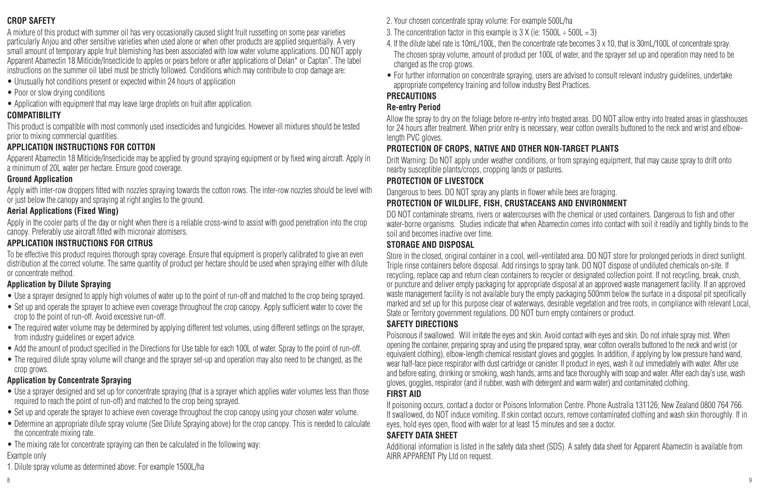#### **CROP SAFETY**

A mixture of this product with summer oil has very occasionally caused slight fruit russetting on some pear varieties particularly Anjou and other sensitive varieties when used alone or when other products are applied sequentially. A very small amount of temporary apple fruit blemishing has been associated with low water volume applications. DO NOT apply Apparent Abamectin 18 Miticide/Insecticide to apples or pears before or after applications of Delan\* or Captan". The label instructions on the summer oil label must be strictly followed. Conditions which may contribute to crop damage are:

- Unusually hot conditions present or expected within 24 hours of application
- Poor or slow drying conditions
- Application with equipment that may leave large droplets on fruit after application.

#### **COMPATIBILITY**

This product is compatible with most commonly used insecticides and fungicides. However all mixtures should be tested prior to mixing commercial quantities.

#### **APPLICATION INSTRUCTIONS FOR COTTON**

Apparent Abamectin 18 Miticide/Insecticide may be applied by ground spraying equipment or by fixed wing aircraft. Apply in a minimum of 20L water per hectare. Ensure good coverage.

#### **Ground Application**

Apply with inter-row droppers fitted with nozzles spraying towards the cotton rows. The inter-row nozzles should be level with or just below the canopy and spraying at right angles to the ground.

#### **Aerial Applications (Fixed Wing)**

Apply in the cooler parts of the day or night when there is a reliable cross-wind to assist with good penetration into the crop canopy. Preferably use aircraft fitted with micronair atomisers.

#### **APPLICATION INSTRUCTIONS FOR CITRUS**

To be effective this product requires thorough spray coverage. Ensure that equipment is properly calibrated to give an even distribution at the correct volume. The same quantity of product per hectare should be used when spraying either with dilute or concentrate method.

#### **Application by Dilute Spraying**

- Use a sprayer designed to apply high volumes of water up to the point of run-off and matched to the crop being sprayed.
- Set up and operate the sprayer to achieve even coverage throughout the crop canopy. Apply sufficient water to cover the crop to the point of run-off. Avoid excessive run-off.
- The required water volume may be determined by applying different test volumes, using different settings on the sprayer, from industry guidelines or expert advice.
- Add the amount of product specified in the Directions for Use table for each 100L of water. Spray to the point of run-off.
- The required dilute spray volume will change and the sprayer set-up and operation may also need to be changed, as the crop grows.

#### **Application by Concentrate Spraying**

- Use a sprayer designed and set up for concentrate spraying (that is a sprayer which applies water volumes less than those required to reach the point of run-off) and matched to the crop being sprayed.
- Set up and operate the sprayer to achieve even coverage throughout the crop canopy using your chosen water volume.
- Determine an appropriate dilute spray volume (See Dilute Spraying above) for the crop canopy. This is needed to calculate the concentrate mixing rate.
- The mixing rate for concentrate spraying can then be calculated in the following way:

#### Example only

1. Dilute spray volume as determined above: For example 1500L/ha

- 2. Your chosen concentrate spray volume: For example 500L/ha
- 3. The concentration factor in this example is  $3 \times (ie: 1500L \div 500L = 3)$
- 4. If the dilute label rate is 10mL/100L, then the concentrate rate becomes 3 x 10, that is 30mL/100L of concentrate spray. The chosen spray volume, amount of product per 100L of water, and the sprayer set up and operation may need to be changed as the crop grows.
- For further information on concentrate spraying, users are advised to consult relevant industry guidelines, undertake appropriate competency training and follow industry Best Practices.

#### **PRECAUTIONS**

#### **Re-entry Period**

Allow the spray to dry on the foliage before re-entry into treated areas. DO NOT allow entry into treated areas in glasshouses for 24 hours after treatment. When prior entry is necessary, wear cotton overalls buttoned to the neck and wrist and elbowlength PVC gloves.

#### **PROTECTION OF CROPS, NATIVE AND OTHER NON-TARGET PLANTS**

Drift Warning: Do NOT apply under weather conditions, or from spraying equipment, that may cause spray to drift onto nearby susceptible plants/crops, cropping lands or pastures.

#### **PROTECTION OF LIVESTOCK**

Dangerous to bees. DO NOT spray any plants in flower while bees are foraging.

#### **PROTECTION OF WILDLIFE, FISH, CRUSTACEANS AND ENVIRONMENT**

DO NOT contaminate streams, rivers or watercourses with the chemical or used containers. Dangerous to fish and other water-borne organisms. Studies indicate that when Abamectin comes into contact with soil it readily and tightly binds to the soil and becomes inactive over time.

#### **STORAGE AND DISPOSAL**

Store in the closed, original container in a cool, well-ventilated area. DO NOT store for prolonged periods in direct sunlight. Triple rinse containers before disposal. Add rinsings to spray tank. DO NOT dispose of undiluted chemicals on-site. If recycling, replace cap and return clean containers to recycler or designated collection point. If not recycling, break, crush, or puncture and deliver empty packaging for appropriate disposal at an approved waste management facility. If an approved waste management facility is not available bury the empty packaging 500mm below the surface in a disposal pit specifically marked and set up for this purpose clear of waterways, desirable vegetation and tree roots, in compliance with relevant Local, State or Territory government regulations. DO NOT burn empty containers or product.

#### **SAFETY DIRECTIONS**

Poisonous if swallowed. Will irritate the eyes and skin. Avoid contact with eyes and skin. Do not inhale spray mist. When opening the container, preparing spray and using the prepared spray, wear cotton overalls buttoned to the neck and wrist (or equivalent clothing), elbow-length chemical resistant gloves and goggles. In addition, if applying by low pressure hand wand, wear half-face piece respirator with dust cartridge or canister. If product in eyes, wash it out immediately with water. After use and before eating, drinking or smoking, wash hands, arms and face thoroughly with soap and water. After each day's use, wash gloves, goggles, respirator (and if rubber, wash with detergent and warm water) and contaminated clothing.

#### **FIRST AID**

If poisoning occurs, contact a doctor or Poisons Information Centre. Phone Australia 131126; New Zealand 0800 764 766. If swallowed, do NOT induce vomiting. If skin contact occurs, remove contaminated clothing and wash skin thoroughly. If in eyes, hold eyes open, flood with water for at least 15 minutes and see a doctor.

#### **SAFETY DATA SHEET**

Additional information is listed in the safety data sheet (SDS). A safety data sheet for Apparent Abamectin is available from AIRR APPARENT Pty Ltd on request.